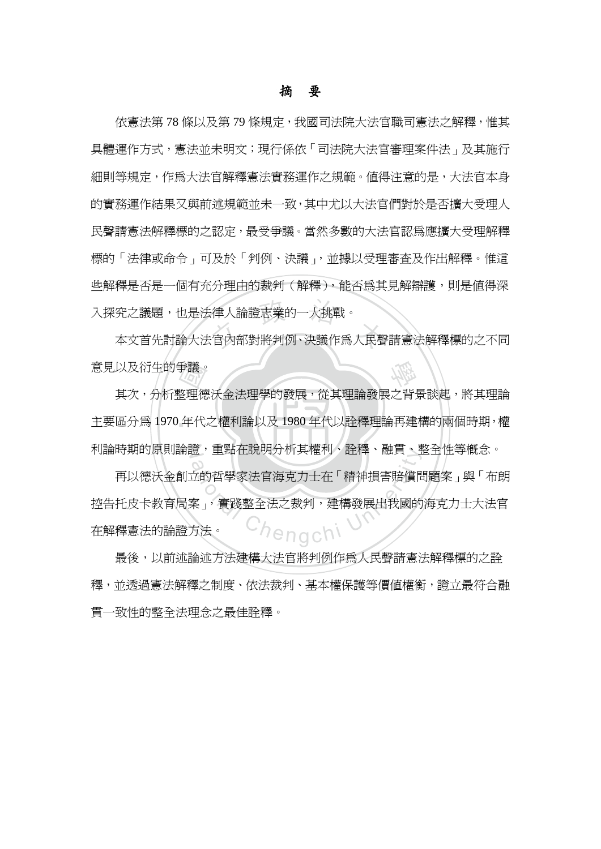## 摘 要

究之議題,也是法律人論證志業的一大挑戰。<br>本文首先討論大法官內部對將判例、決議作爲人民聲請憲法解釋標的之不同 依憲法第 78 條以及第 79 條規定,我國司法院大法官職司憲法之解釋,惟其 具體運作方式,憲法並未明文;現行係依「司法院大法官審理案件法」及其施行 細則等規定,作爲大法官解釋憲法實務運作之規範。値得注意的是,大法官本身 的實務運作結果又與前述規範並未一致,其中尤以大法官們對於是否擴大受理人 民聲請憲法解釋標的之認定,最受爭議。當然多數的大法官認為應擴大受理解釋 標的「法律或命令」可及於「判例、決議」,並據以受理審查及作出解釋。惟這 些解釋是否是一個有充分理由的裁判(解釋),能否為其見解辯護,則是值得深 入探究之議題,也是法律人論證志業的一大挑戰。

學 意見以及衍生的爭議。

主要區分為 1970年代代之權利論以及 1980年代以詮釋理論再建構的兩個時期,權 手議。<br>整理徳<br>年代 N 利論時期的原則論證,重點在說明分析其權利、詮釋、融貫、整全性等概念。 其次,分析整理德沃金法理學的發展,從其理論發展之背景談起,將其理論

逗,里點仕說明分析具確刊、註梓、融員、到<br>立的哲學家法官海克力士在「精神損害賠償<sup>に<br>案」,實踐整全法之裁判,建構發展出我國的<br>方法。</sup> 再以德沃金創立的哲學家法官海克力士在「精神損害賠償問題案」與「布朗 控告托皮卡教育局案」,實踐整全法之裁判,建構發展出我國的海克力士大法官 在解釋憲法的論證方法。

最後,以前述論述方法建構大法官將判例作爲人民聲請憲法解釋標的之詮 釋,並透過憲法解釋之制度、依法裁判、基本權保護等價值權衡,證立最符合融 貫一致性的整全法理念之最佳詮釋。